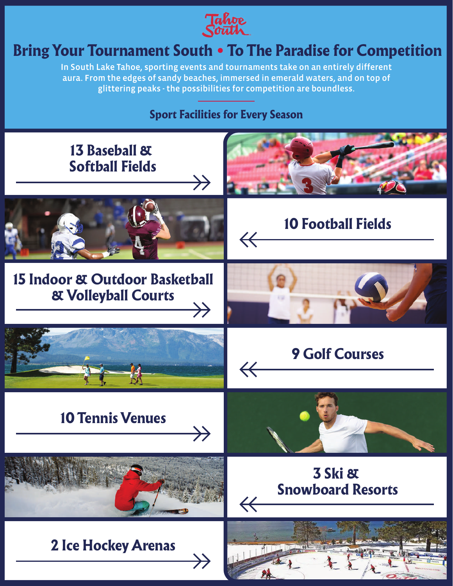

# Bring Your Tournament South . To The Paradise for Competition

In South Lake Tahoe, sporting events and tournaments take on an entirely different aura. From the edges of sandy beaches, immersed in emerald waters, and on top of glittering peaks - the possibilities for competition are boundless.

#### Sport Facilities for Every Season